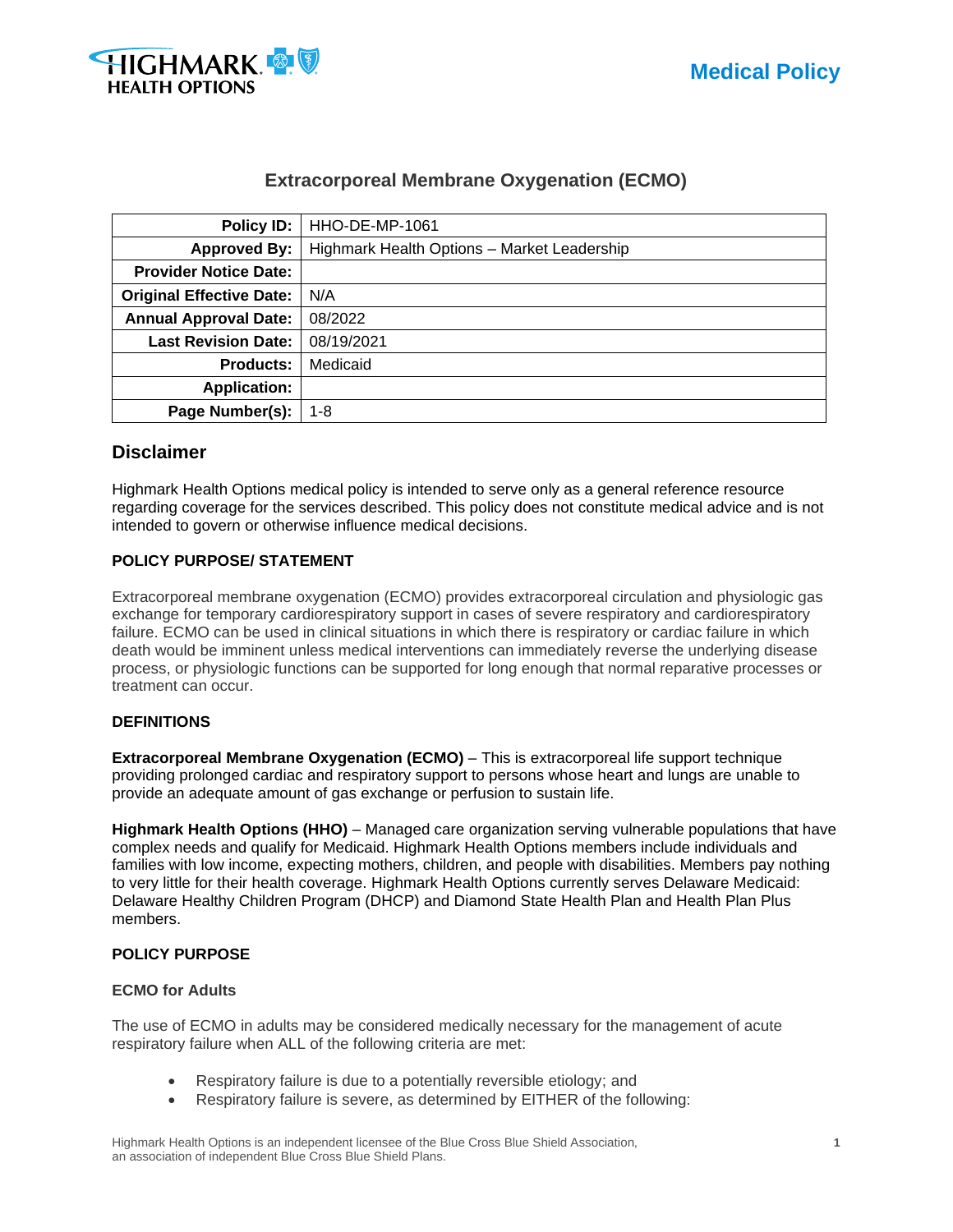

# **Extracorporeal Membrane Oxygenation (ECMO)**

| <b>Policy ID:</b>                        | <b>HHO-DE-MP-1061</b>                       |  |  |
|------------------------------------------|---------------------------------------------|--|--|
| <b>Approved By:</b>                      | Highmark Health Options - Market Leadership |  |  |
| <b>Provider Notice Date:</b>             |                                             |  |  |
| <b>Original Effective Date:</b>          | N/A                                         |  |  |
| <b>Annual Approval Date:</b>             | 08/2022                                     |  |  |
| 08/19/2021<br><b>Last Revision Date:</b> |                                             |  |  |
| <b>Products:</b>                         | Medicaid                                    |  |  |
| <b>Application:</b>                      |                                             |  |  |
| Page Number(s):                          | $1 - 8$                                     |  |  |

### **Disclaimer**

Highmark Health Options medical policy is intended to serve only as a general reference resource regarding coverage for the services described. This policy does not constitute medical advice and is not intended to govern or otherwise influence medical decisions.

### **POLICY PURPOSE/ STATEMENT**

Extracorporeal membrane oxygenation (ECMO) provides extracorporeal circulation and physiologic gas exchange for temporary cardiorespiratory support in cases of severe respiratory and cardiorespiratory failure. ECMO can be used in clinical situations in which there is respiratory or cardiac failure in which death would be imminent unless medical interventions can immediately reverse the underlying disease process, or physiologic functions can be supported for long enough that normal reparative processes or treatment can occur.

#### **DEFINITIONS**

**Extracorporeal Membrane Oxygenation (ECMO)** – This is extracorporeal life support technique providing prolonged cardiac and respiratory support to persons whose heart and lungs are unable to provide an adequate amount of gas exchange or perfusion to sustain life.

**Highmark Health Options (HHO)** – Managed care organization serving vulnerable populations that have complex needs and qualify for Medicaid. Highmark Health Options members include individuals and families with low income, expecting mothers, children, and people with disabilities. Members pay nothing to very little for their health coverage. Highmark Health Options currently serves Delaware Medicaid: Delaware Healthy Children Program (DHCP) and Diamond State Health Plan and Health Plan Plus members.

### **POLICY PURPOSE**

#### **ECMO for Adults**

The use of ECMO in adults may be considered medically necessary for the management of acute respiratory failure when ALL of the following criteria are met:

- Respiratory failure is due to a potentially reversible etiology; and
- Respiratory failure is severe, as determined by EITHER of the following:

Highmark Health Options is an independent licensee of the Blue Cross Blue Shield Association, **1** an association of independent Blue Cross Blue Shield Plans.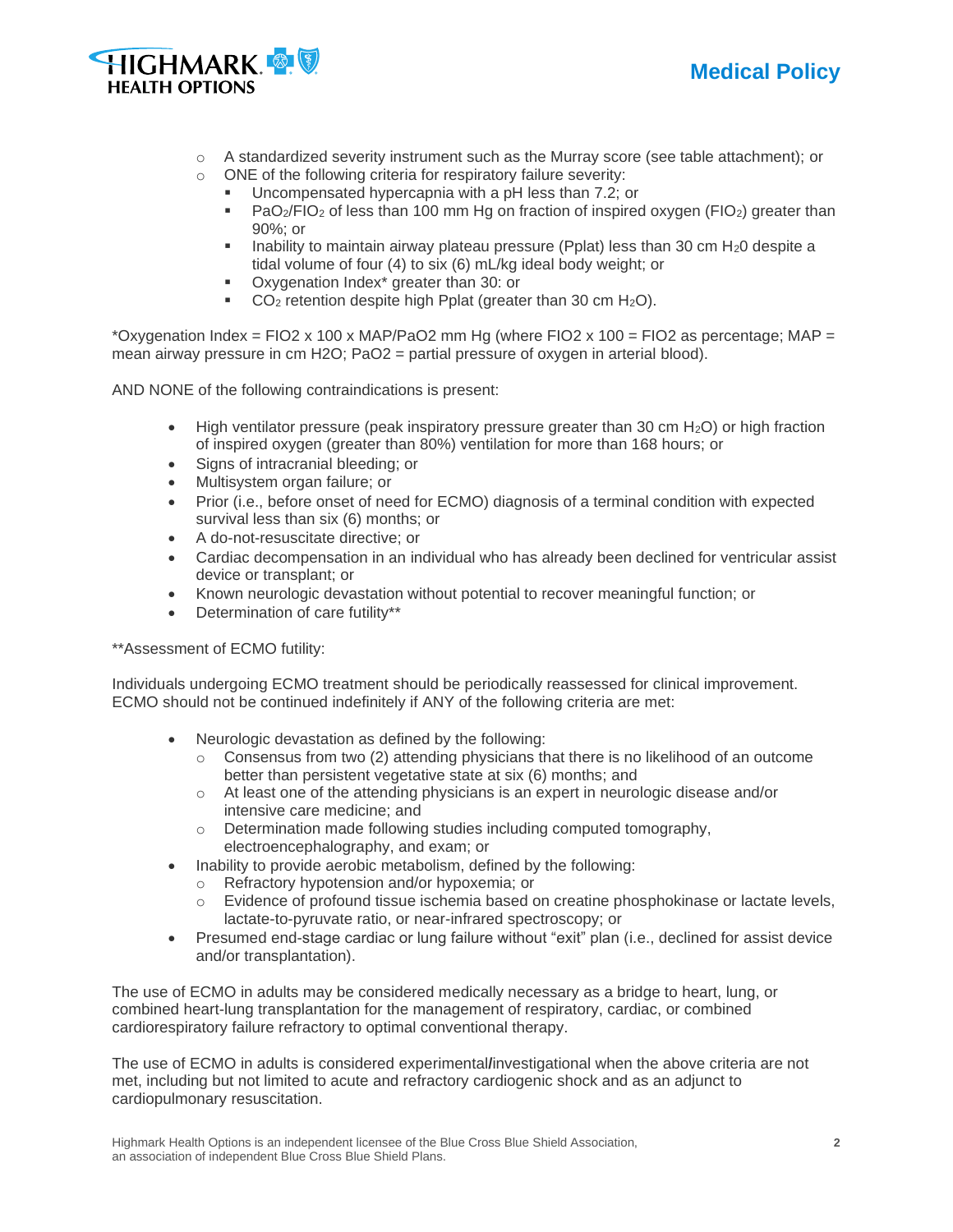



- $\circ$  A standardized severity instrument such as the Murray score (see table attachment); or
- o ONE of the following criteria for respiratory failure severity:
	- Uncompensated hypercapnia with a pH less than 7.2; or
		- $PaO<sub>2</sub>/FIO<sub>2</sub>$  of less than 100 mm Hg on fraction of inspired oxygen (FIO<sub>2</sub>) greater than 90%; or
		- **■** Inability to maintain airway plateau pressure (Pplat) less than 30 cm  $H_20$  despite a tidal volume of four (4) to six (6) mL/kg ideal body weight; or
		- Oxygenation Index<sup>\*</sup> greater than 30: or
		- $\bullet$  CO<sub>2</sub> retention despite high Pplat (greater than 30 cm H<sub>2</sub>O).

\*Oxygenation Index = FIO2 x 100 x MAP/PaO2 mm Hg (where FIO2 x 100 = FIO2 as percentage; MAP = mean airway pressure in cm H2O; PaO2 = partial pressure of oxygen in arterial blood).

AND NONE of the following contraindications is present:

- High ventilator pressure (peak inspiratory pressure greater than 30 cm  $H_2O$ ) or high fraction of inspired oxygen (greater than 80%) ventilation for more than 168 hours; or
- Signs of intracranial bleeding; or
- Multisystem organ failure; or
- Prior (i.e., before onset of need for ECMO) diagnosis of a terminal condition with expected survival less than six (6) months; or
- A do-not-resuscitate directive; or
- Cardiac decompensation in an individual who has already been declined for ventricular assist device or transplant; or
- Known neurologic devastation without potential to recover meaningful function; or
- Determination of care futility\*\*

\*\*Assessment of ECMO futility:

Individuals undergoing ECMO treatment should be periodically reassessed for clinical improvement. ECMO should not be continued indefinitely if ANY of the following criteria are met:

- Neurologic devastation as defined by the following:
	- $\circ$  Consensus from two (2) attending physicians that there is no likelihood of an outcome better than persistent vegetative state at six (6) months; and
	- $\circ$  At least one of the attending physicians is an expert in neurologic disease and/or intensive care medicine; and
	- o Determination made following studies including computed tomography, electroencephalography, and exam; or
- Inability to provide aerobic metabolism, defined by the following:
	- o Refractory hypotension and/or hypoxemia; or
	- $\circ$  Evidence of profound tissue ischemia based on creatine phosphokinase or lactate levels, lactate-to-pyruvate ratio, or near-infrared spectroscopy; or
- Presumed end-stage cardiac or lung failure without "exit" plan (i.e., declined for assist device and/or transplantation).

The use of ECMO in adults may be considered medically necessary as a bridge to heart, lung, or combined heart-lung transplantation for the management of respiratory, cardiac, or combined cardiorespiratory failure refractory to optimal conventional therapy.

The use of ECMO in adults is considered experimental**/**investigational when the above criteria are not met, including but not limited to acute and refractory cardiogenic shock and as an adjunct to cardiopulmonary resuscitation.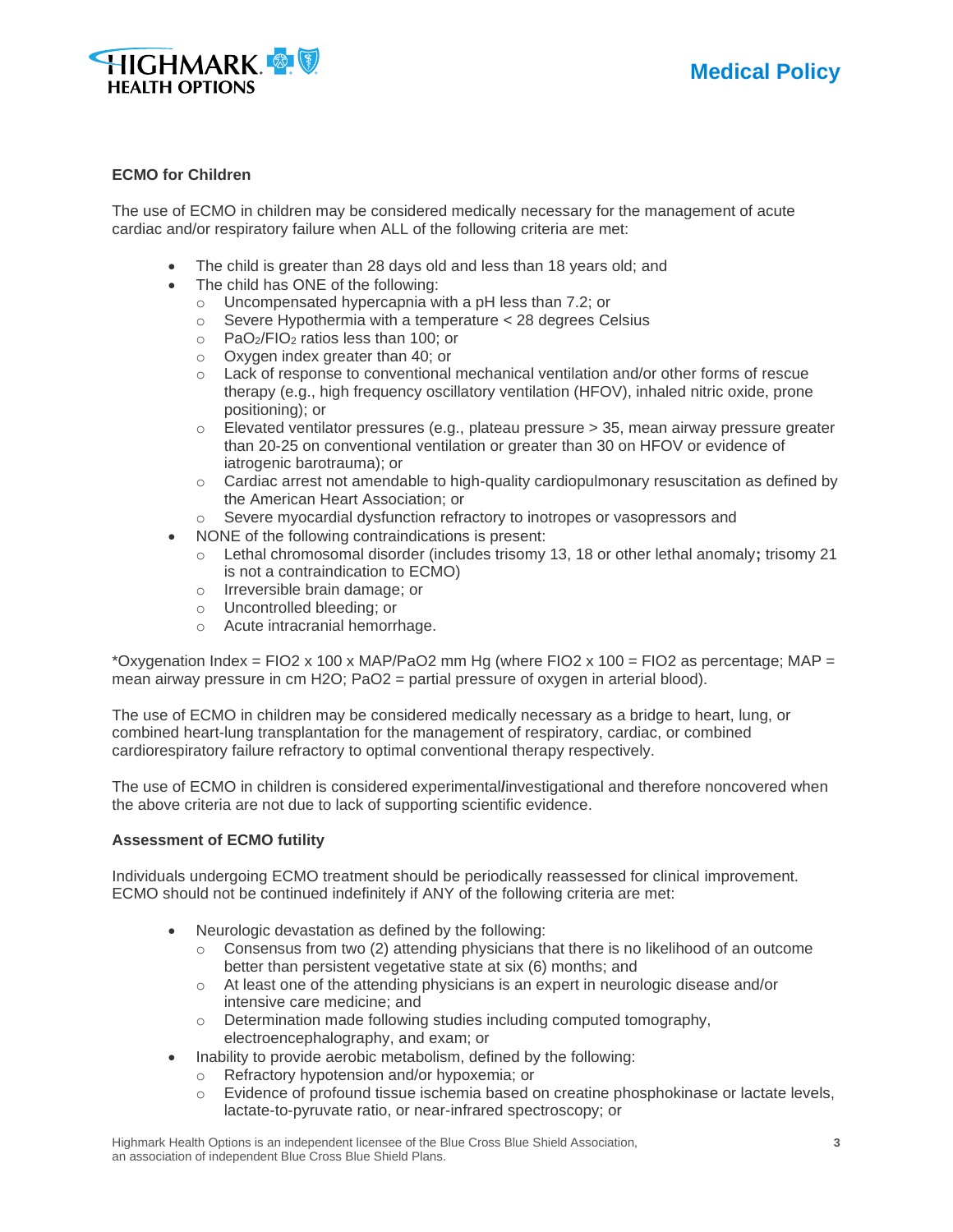



#### **ECMO for Children**

The use of ECMO in children may be considered medically necessary for the management of acute cardiac and/or respiratory failure when ALL of the following criteria are met:

- The child is greater than 28 days old and less than 18 years old; and
- The child has ONE of the following:
	- o Uncompensated hypercapnia with a pH less than 7.2; or
	- o Severe Hypothermia with a temperature < 28 degrees Celsius
	- o PaO2/FIO<sup>2</sup> ratios less than 100; or
	- o Oxygen index greater than 40; or
	- $\circ$  Lack of response to conventional mechanical ventilation and/or other forms of rescue therapy (e.g., high frequency oscillatory ventilation (HFOV), inhaled nitric oxide, prone positioning); or
	- $\circ$  Elevated ventilator pressures (e.g., plateau pressure > 35, mean airway pressure greater than 20-25 on conventional ventilation or greater than 30 on HFOV or evidence of iatrogenic barotrauma); or
	- $\circ$  Cardiac arrest not amendable to high-quality cardiopulmonary resuscitation as defined by the American Heart Association; or
	- o Severe myocardial dysfunction refractory to inotropes or vasopressors and
- NONE of the following contraindications is present:
	- o Lethal chromosomal disorder (includes trisomy 13, 18 or other lethal anomaly**;** trisomy 21 is not a contraindication to ECMO)
	- o Irreversible brain damage; or
	- o Uncontrolled bleeding; or
	- o Acute intracranial hemorrhage.

\*Oxygenation Index = FIO2 x 100 x MAP/PaO2 mm Hg (where FIO2 x 100 = FIO2 as percentage; MAP = mean airway pressure in cm H2O; PaO2 = partial pressure of oxygen in arterial blood).

The use of ECMO in children may be considered medically necessary as a bridge to heart, lung, or combined heart-lung transplantation for the management of respiratory, cardiac, or combined cardiorespiratory failure refractory to optimal conventional therapy respectively.

The use of ECMO in children is considered experimental**/**investigational and therefore noncovered when the above criteria are not due to lack of supporting scientific evidence.

#### **Assessment of ECMO futility**

Individuals undergoing ECMO treatment should be periodically reassessed for clinical improvement. ECMO should not be continued indefinitely if ANY of the following criteria are met:

- Neurologic devastation as defined by the following:
	- $\circ$  Consensus from two (2) attending physicians that there is no likelihood of an outcome better than persistent vegetative state at six (6) months; and
	- o At least one of the attending physicians is an expert in neurologic disease and/or intensive care medicine; and
	- o Determination made following studies including computed tomography, electroencephalography, and exam; or
- Inability to provide aerobic metabolism, defined by the following:
	- o Refractory hypotension and/or hypoxemia; or
	- $\circ$  Evidence of profound tissue ischemia based on creatine phosphokinase or lactate levels, lactate-to-pyruvate ratio, or near-infrared spectroscopy; or

Highmark Health Options is an independent licensee of the Blue Cross Blue Shield Association, **3** an association of independent Blue Cross Blue Shield Plans.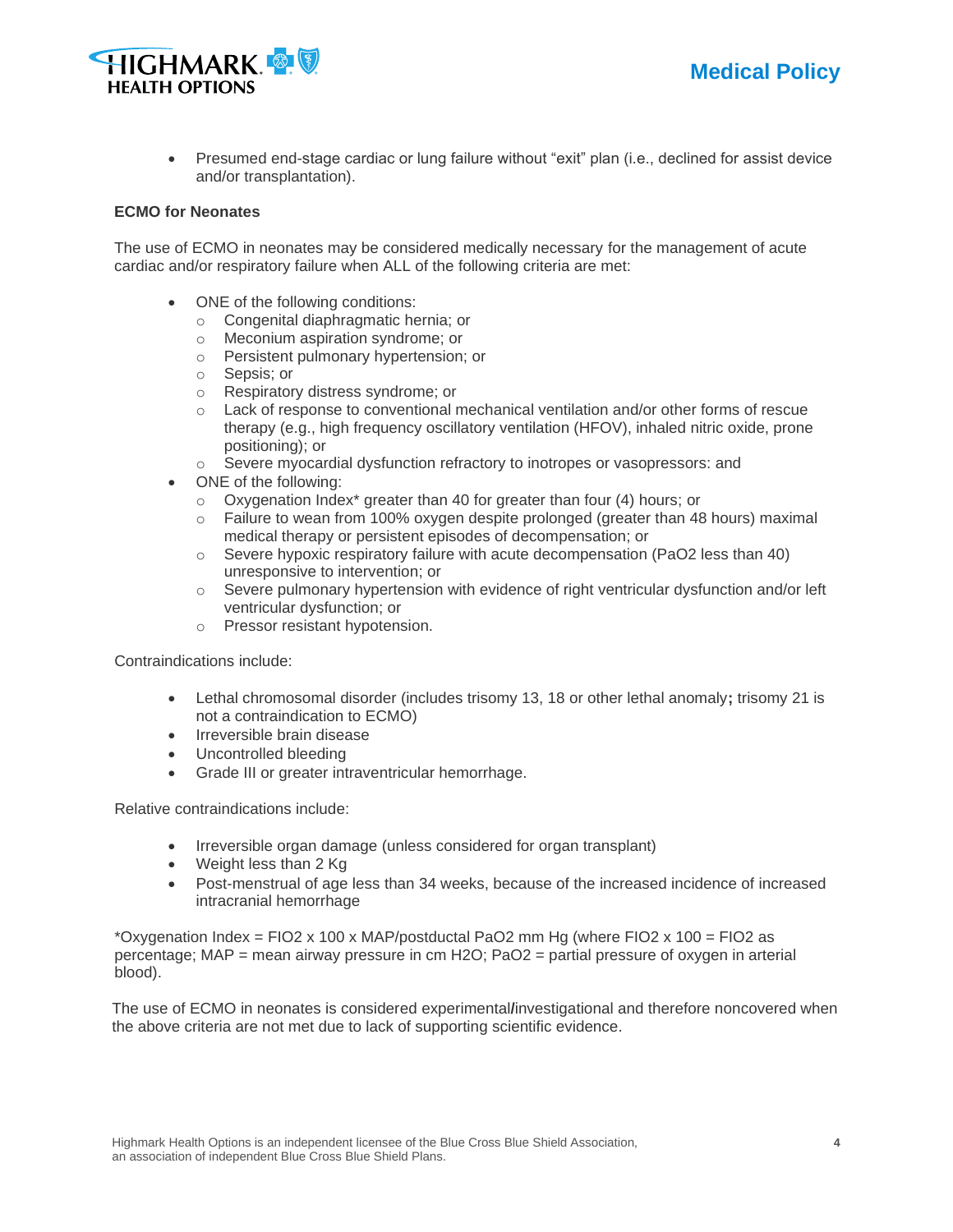



• Presumed end-stage cardiac or lung failure without "exit" plan (i.e., declined for assist device and/or transplantation).

#### **ECMO for Neonates**

The use of ECMO in neonates may be considered medically necessary for the management of acute cardiac and/or respiratory failure when ALL of the following criteria are met:

- ONE of the following conditions:
	- o Congenital diaphragmatic hernia; or
	- o Meconium aspiration syndrome; or
	- o Persistent pulmonary hypertension; or
	- o Sepsis; or
	- o Respiratory distress syndrome; or
	- o Lack of response to conventional mechanical ventilation and/or other forms of rescue therapy (e.g., high frequency oscillatory ventilation (HFOV), inhaled nitric oxide, prone positioning); or
	- $\circ$  Severe myocardial dysfunction refractory to inotropes or vasopressors: and
- ONE of the following:
	- $\circ$  Oxygenation Index<sup>\*</sup> greater than 40 for greater than four (4) hours; or
	- $\circ$  Failure to wean from 100% oxygen despite prolonged (greater than 48 hours) maximal medical therapy or persistent episodes of decompensation; or
	- $\circ$  Severe hypoxic respiratory failure with acute decompensation (PaO2 less than 40) unresponsive to intervention; or
	- o Severe pulmonary hypertension with evidence of right ventricular dysfunction and/or left ventricular dysfunction; or
	- o Pressor resistant hypotension.

Contraindications include:

- Lethal chromosomal disorder (includes trisomy 13, 18 or other lethal anomaly**;** trisomy 21 is not a contraindication to ECMO)
- Irreversible brain disease
- Uncontrolled bleeding
- Grade III or greater intraventricular hemorrhage.

Relative contraindications include:

- Irreversible organ damage (unless considered for organ transplant)
- Weight less than 2 Kg
- Post-menstrual of age less than 34 weeks, because of the increased incidence of increased intracranial hemorrhage

\*Oxygenation Index = FIO2 x 100 x MAP/postductal PaO2 mm Hg (where FIO2 x 100 = FIO2 as percentage; MAP = mean airway pressure in cm H2O; PaO2 = partial pressure of oxygen in arterial blood).

The use of ECMO in neonates is considered experimental**/**investigational and therefore noncovered when the above criteria are not met due to lack of supporting scientific evidence.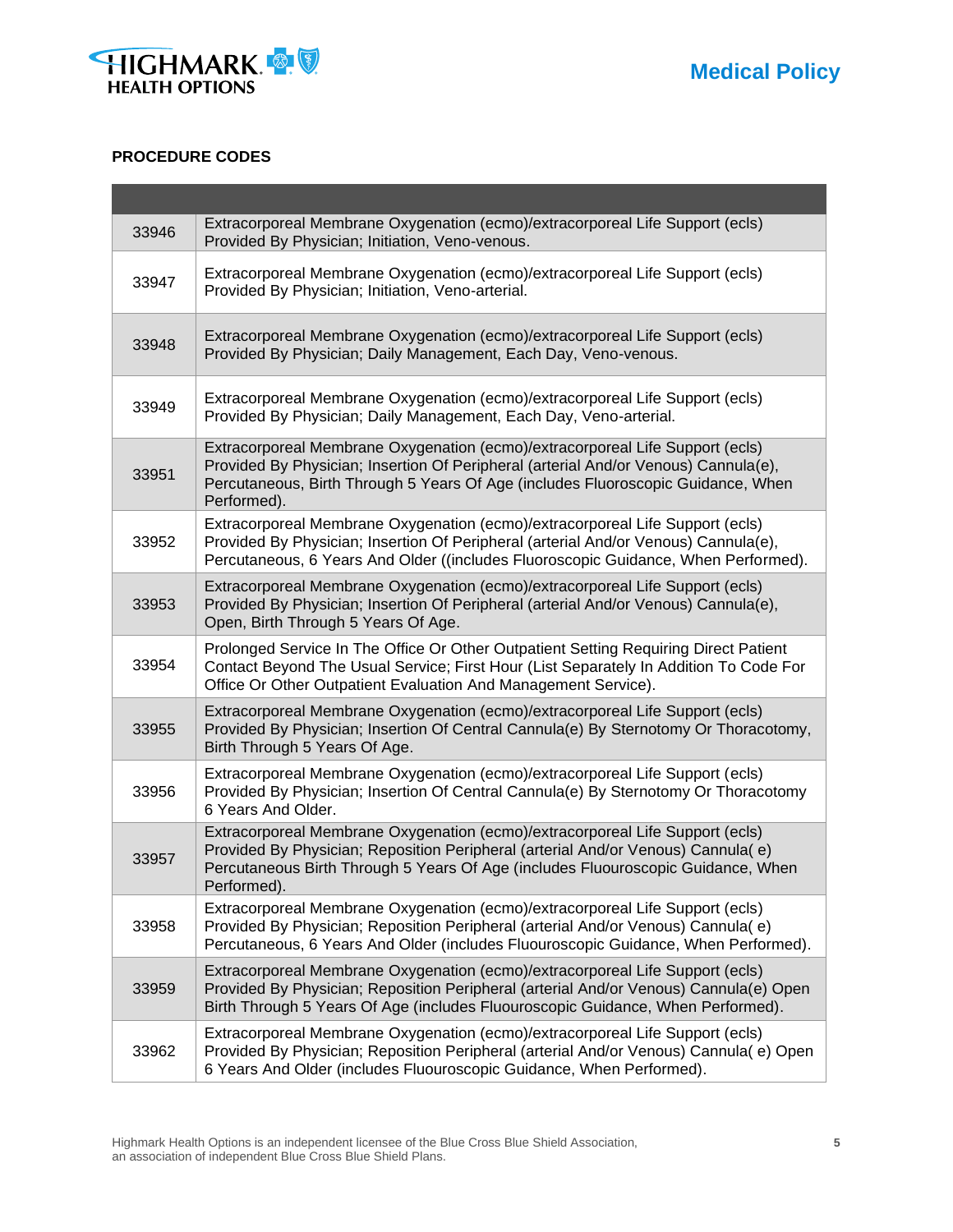

#### **PROCEDURE CODES**

| 33946 | Extracorporeal Membrane Oxygenation (ecmo)/extracorporeal Life Support (ecls)<br>Provided By Physician; Initiation, Veno-venous.                                                                                                                                        |
|-------|-------------------------------------------------------------------------------------------------------------------------------------------------------------------------------------------------------------------------------------------------------------------------|
| 33947 | Extracorporeal Membrane Oxygenation (ecmo)/extracorporeal Life Support (ecls)<br>Provided By Physician; Initiation, Veno-arterial.                                                                                                                                      |
| 33948 | Extracorporeal Membrane Oxygenation (ecmo)/extracorporeal Life Support (ecls)<br>Provided By Physician; Daily Management, Each Day, Veno-venous.                                                                                                                        |
| 33949 | Extracorporeal Membrane Oxygenation (ecmo)/extracorporeal Life Support (ecls)<br>Provided By Physician; Daily Management, Each Day, Veno-arterial.                                                                                                                      |
| 33951 | Extracorporeal Membrane Oxygenation (ecmo)/extracorporeal Life Support (ecls)<br>Provided By Physician; Insertion Of Peripheral (arterial And/or Venous) Cannula(e),<br>Percutaneous, Birth Through 5 Years Of Age (includes Fluoroscopic Guidance, When<br>Performed). |
| 33952 | Extracorporeal Membrane Oxygenation (ecmo)/extracorporeal Life Support (ecls)<br>Provided By Physician; Insertion Of Peripheral (arterial And/or Venous) Cannula(e),<br>Percutaneous, 6 Years And Older ((includes Fluoroscopic Guidance, When Performed).              |
| 33953 | Extracorporeal Membrane Oxygenation (ecmo)/extracorporeal Life Support (ecls)<br>Provided By Physician; Insertion Of Peripheral (arterial And/or Venous) Cannula(e),<br>Open, Birth Through 5 Years Of Age.                                                             |
| 33954 | Prolonged Service In The Office Or Other Outpatient Setting Requiring Direct Patient<br>Contact Beyond The Usual Service; First Hour (List Separately In Addition To Code For<br>Office Or Other Outpatient Evaluation And Management Service).                         |
| 33955 | Extracorporeal Membrane Oxygenation (ecmo)/extracorporeal Life Support (ecls)<br>Provided By Physician; Insertion Of Central Cannula(e) By Sternotomy Or Thoracotomy,<br>Birth Through 5 Years Of Age.                                                                  |
| 33956 | Extracorporeal Membrane Oxygenation (ecmo)/extracorporeal Life Support (ecls)<br>Provided By Physician; Insertion Of Central Cannula(e) By Sternotomy Or Thoracotomy<br>6 Years And Older.                                                                              |
| 33957 | Extracorporeal Membrane Oxygenation (ecmo)/extracorporeal Life Support (ecls)<br>Provided By Physician; Reposition Peripheral (arterial And/or Venous) Cannula(e)<br>Percutaneous Birth Through 5 Years Of Age (includes Fluouroscopic Guidance, When<br>Performed).    |
| 33958 | Extracorporeal Membrane Oxygenation (ecmo)/extracorporeal Life Support (ecls)<br>Provided By Physician; Reposition Peripheral (arterial And/or Venous) Cannula(e)<br>Percutaneous, 6 Years And Older (includes Fluouroscopic Guidance, When Performed).                 |
| 33959 | Extracorporeal Membrane Oxygenation (ecmo)/extracorporeal Life Support (ecls)<br>Provided By Physician; Reposition Peripheral (arterial And/or Venous) Cannula(e) Open<br>Birth Through 5 Years Of Age (includes Fluouroscopic Guidance, When Performed).               |
| 33962 | Extracorporeal Membrane Oxygenation (ecmo)/extracorporeal Life Support (ecls)<br>Provided By Physician; Reposition Peripheral (arterial And/or Venous) Cannula(e) Open<br>6 Years And Older (includes Fluouroscopic Guidance, When Performed).                          |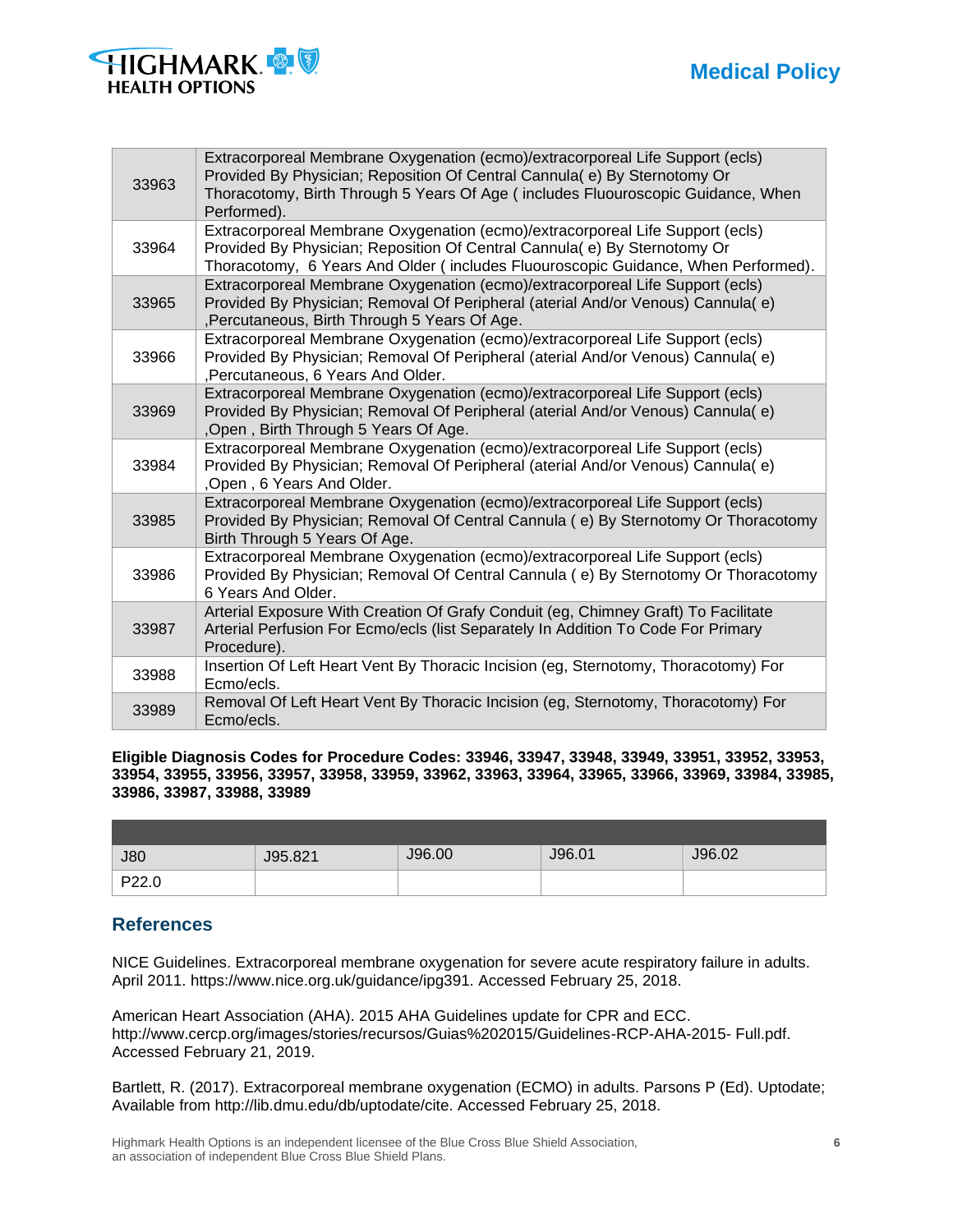

| 33963 | Extracorporeal Membrane Oxygenation (ecmo)/extracorporeal Life Support (ecls)<br>Provided By Physician; Reposition Of Central Cannula(e) By Sternotomy Or<br>Thoracotomy, Birth Through 5 Years Of Age (includes Fluouroscopic Guidance, When<br>Performed). |
|-------|--------------------------------------------------------------------------------------------------------------------------------------------------------------------------------------------------------------------------------------------------------------|
| 33964 | Extracorporeal Membrane Oxygenation (ecmo)/extracorporeal Life Support (ecls)<br>Provided By Physician; Reposition Of Central Cannula( e) By Sternotomy Or<br>Thoracotomy, 6 Years And Older (includes Fluouroscopic Guidance, When Performed).              |
| 33965 | Extracorporeal Membrane Oxygenation (ecmo)/extracorporeal Life Support (ecls)<br>Provided By Physician; Removal Of Peripheral (aterial And/or Venous) Cannula(e)<br>, Percutaneous, Birth Through 5 Years Of Age.                                            |
| 33966 | Extracorporeal Membrane Oxygenation (ecmo)/extracorporeal Life Support (ecls)<br>Provided By Physician; Removal Of Peripheral (aterial And/or Venous) Cannula(e)<br>, Percutaneous, 6 Years And Older.                                                       |
| 33969 | Extracorporeal Membrane Oxygenation (ecmo)/extracorporeal Life Support (ecls)<br>Provided By Physician; Removal Of Peripheral (aterial And/or Venous) Cannula(e)<br>Open, Birth Through 5 Years Of Age.                                                      |
| 33984 | Extracorporeal Membrane Oxygenation (ecmo)/extracorporeal Life Support (ecls)<br>Provided By Physician; Removal Of Peripheral (aterial And/or Venous) Cannula(e)<br>, Open, 6 Years And Older.                                                               |
| 33985 | Extracorporeal Membrane Oxygenation (ecmo)/extracorporeal Life Support (ecls)<br>Provided By Physician; Removal Of Central Cannula (e) By Sternotomy Or Thoracotomy<br>Birth Through 5 Years Of Age.                                                         |
| 33986 | Extracorporeal Membrane Oxygenation (ecmo)/extracorporeal Life Support (ecls)<br>Provided By Physician; Removal Of Central Cannula (e) By Sternotomy Or Thoracotomy<br>6 Years And Older.                                                                    |
| 33987 | Arterial Exposure With Creation Of Grafy Conduit (eg, Chimney Graft) To Facilitate<br>Arterial Perfusion For Ecmo/ecls (list Separately In Addition To Code For Primary<br>Procedure).                                                                       |
| 33988 | Insertion Of Left Heart Vent By Thoracic Incision (eg, Sternotomy, Thoracotomy) For<br>Ecmo/ecls.                                                                                                                                                            |
| 33989 | Removal Of Left Heart Vent By Thoracic Incision (eg, Sternotomy, Thoracotomy) For<br>Ecmo/ecls.                                                                                                                                                              |

**Eligible Diagnosis Codes for Procedure Codes: 33946, 33947, 33948, 33949, 33951, 33952, 33953, 33954, 33955, 33956, 33957, 33958, 33959, 33962, 33963, 33964, 33965, 33966, 33969, 33984, 33985, 33986, 33987, 33988, 33989**

| <b>J80</b> | J95.821 | J96.00 | J96.01 | J96.02 |
|------------|---------|--------|--------|--------|
| P22.0      |         |        |        |        |

## **References**

NICE Guidelines. Extracorporeal membrane oxygenation for severe acute respiratory failure in adults. April 2011. https://www.nice.org.uk/guidance/ipg391. Accessed February 25, 2018.

American Heart Association (AHA). 2015 AHA Guidelines update for CPR and ECC. http://www.cercp.org/images/stories/recursos/Guias%202015/Guidelines-RCP-AHA-2015- Full.pdf. Accessed February 21, 2019.

Bartlett, R. (2017). Extracorporeal membrane oxygenation (ECMO) in adults. Parsons P (Ed). Uptodate; Available from http://lib.dmu.edu/db/uptodate/cite. Accessed February 25, 2018.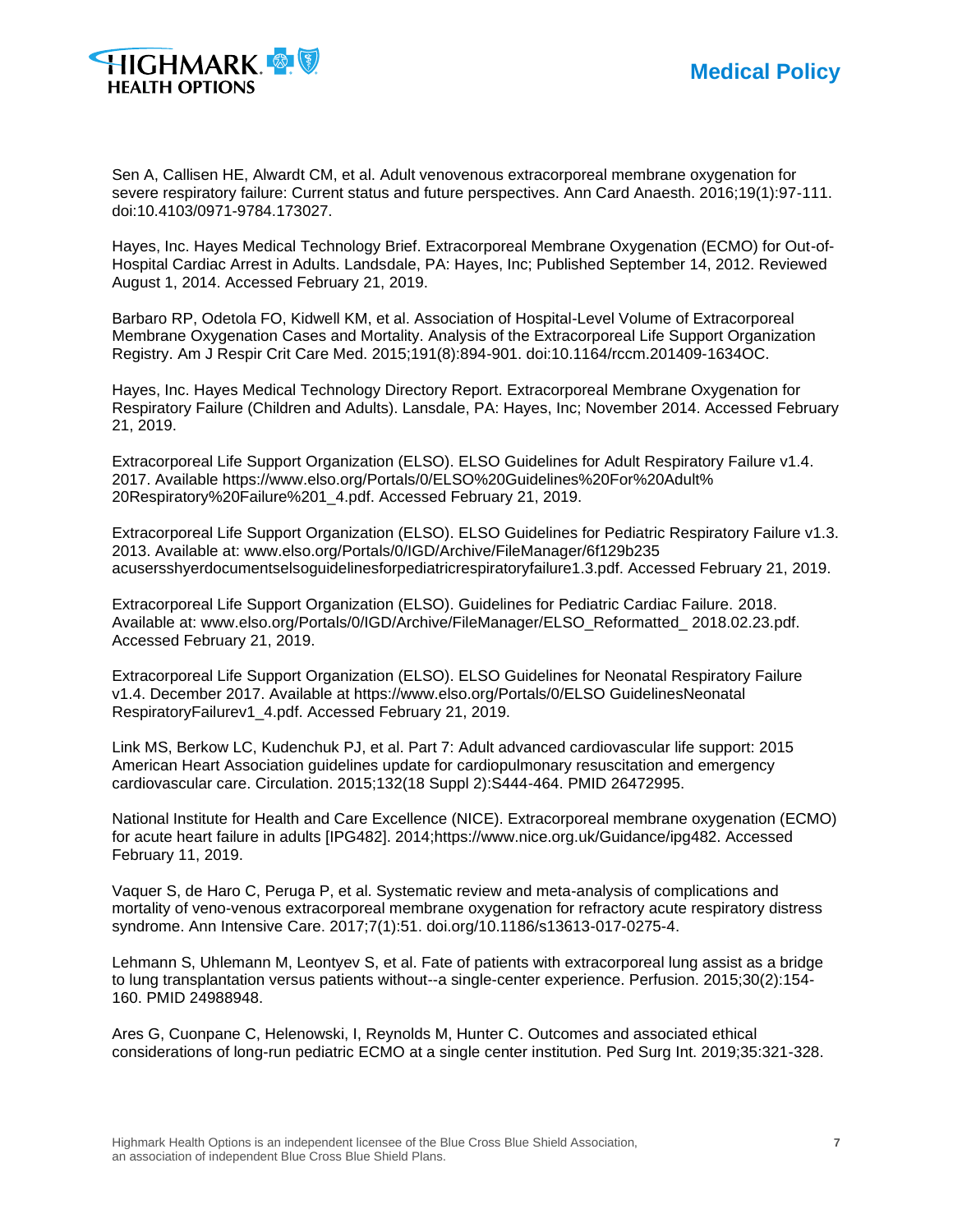

Sen A, Callisen HE, Alwardt CM, et al. Adult venovenous extracorporeal membrane oxygenation for severe respiratory failure: Current status and future perspectives. Ann Card Anaesth. 2016;19(1):97-111. doi:10.4103/0971-9784.173027.

Hayes, Inc. Hayes Medical Technology Brief. Extracorporeal Membrane Oxygenation (ECMO) for Out-of-Hospital Cardiac Arrest in Adults. Landsdale, PA: Hayes, Inc; Published September 14, 2012. Reviewed August 1, 2014. Accessed February 21, 2019.

Barbaro RP, Odetola FO, Kidwell KM, et al. Association of Hospital-Level Volume of Extracorporeal Membrane Oxygenation Cases and Mortality. Analysis of the Extracorporeal Life Support Organization Registry. Am J Respir Crit Care Med. 2015;191(8):894-901. doi:10.1164/rccm.201409-1634OC.

Hayes, Inc. Hayes Medical Technology Directory Report. Extracorporeal Membrane Oxygenation for Respiratory Failure (Children and Adults). Lansdale, PA: Hayes, Inc; November 2014. Accessed February 21, 2019.

Extracorporeal Life Support Organization (ELSO). ELSO Guidelines for Adult Respiratory Failure v1.4. 2017. Available https://www.elso.org/Portals/0/ELSO%20Guidelines%20For%20Adult% 20Respiratory%20Failure%201\_4.pdf. Accessed February 21, 2019.

Extracorporeal Life Support Organization (ELSO). ELSO Guidelines for Pediatric Respiratory Failure v1.3. 2013. Available at: www.elso.org/Portals/0/IGD/Archive/FileManager/6f129b235 acusersshyerdocumentselsoguidelinesforpediatricrespiratoryfailure1.3.pdf. Accessed February 21, 2019.

Extracorporeal Life Support Organization (ELSO). Guidelines for Pediatric Cardiac Failure. 2018. Available at: www.elso.org/Portals/0/IGD/Archive/FileManager/ELSO\_Reformatted\_ 2018.02.23.pdf. Accessed February 21, 2019.

Extracorporeal Life Support Organization (ELSO). ELSO Guidelines for Neonatal Respiratory Failure v1.4. December 2017. Available at https://www.elso.org/Portals/0/ELSO GuidelinesNeonatal RespiratoryFailurev1\_4.pdf. Accessed February 21, 2019.

Link MS, Berkow LC, Kudenchuk PJ, et al. Part 7: Adult advanced cardiovascular life support: 2015 American Heart Association guidelines update for cardiopulmonary resuscitation and emergency cardiovascular care. Circulation. 2015;132(18 Suppl 2):S444-464. PMID 26472995.

National Institute for Health and Care Excellence (NICE). Extracorporeal membrane oxygenation (ECMO) for acute heart failure in adults [IPG482]. 2014;https://www.nice.org.uk/Guidance/ipg482. Accessed February 11, 2019.

Vaquer S, de Haro C, Peruga P, et al. Systematic review and meta-analysis of complications and mortality of veno-venous extracorporeal membrane oxygenation for refractory acute respiratory distress syndrome. Ann Intensive Care. 2017;7(1):51. doi.org/10.1186/s13613-017-0275-4.

Lehmann S, Uhlemann M, Leontyev S, et al. Fate of patients with extracorporeal lung assist as a bridge to lung transplantation versus patients without--a single-center experience. Perfusion. 2015;30(2):154- 160. PMID 24988948.

Ares G, Cuonpane C, Helenowski, I, Reynolds M, Hunter C. Outcomes and associated ethical considerations of long-run pediatric ECMO at a single center institution. Ped Surg Int. 2019;35:321-328.